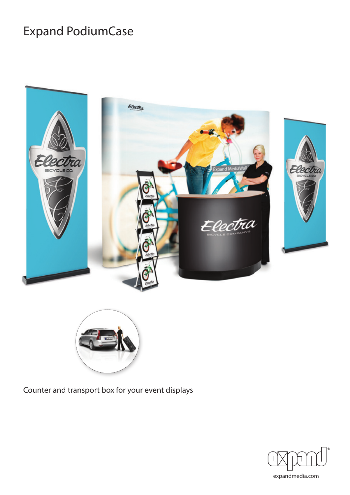# Expand PodiumCase





Counter and transport box for your event displays

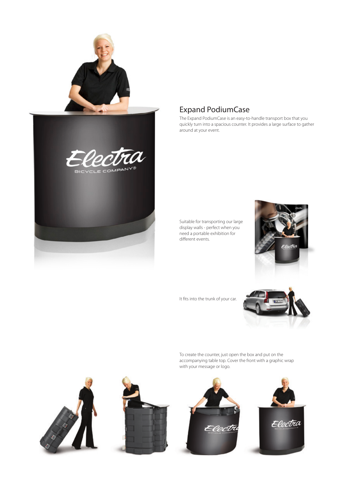

## Expand PodiumCase

The Expand PodiumCase is an easy-to-handle transport box that you quickly turn into a spacious counter. It provides a large surface to gather around at your event.

Suitable for transporting our large display walls - perfect when you need a portable exhibition for different events.



It fits into the trunk of your car.



To create the counter, just open the box and put on the accompanying table top. Cover the front with a graphic wrap with your message or logo.

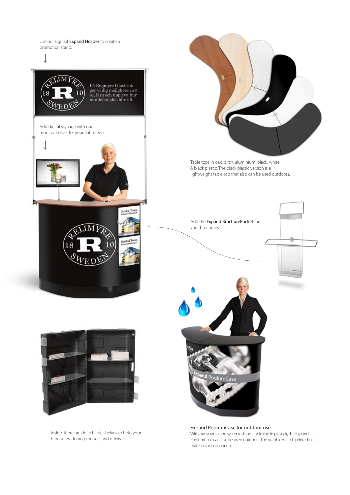Use our sign kit Expand Header to create a promotion stand.





Table tops in oak, birch, aluminium, black, white & black plastic. The black plastic version is a lightweight table top that also can be used outdoors.



Expand PodiumCase for outdoor use With our scratch and water resistant table top in plastick, the Expand PodiumCase can also be used outdoors. The graphic wrap is printed on a material for outdoor use.



Inside, there are detachable shelves to hold your brochures, demo products and drinks.